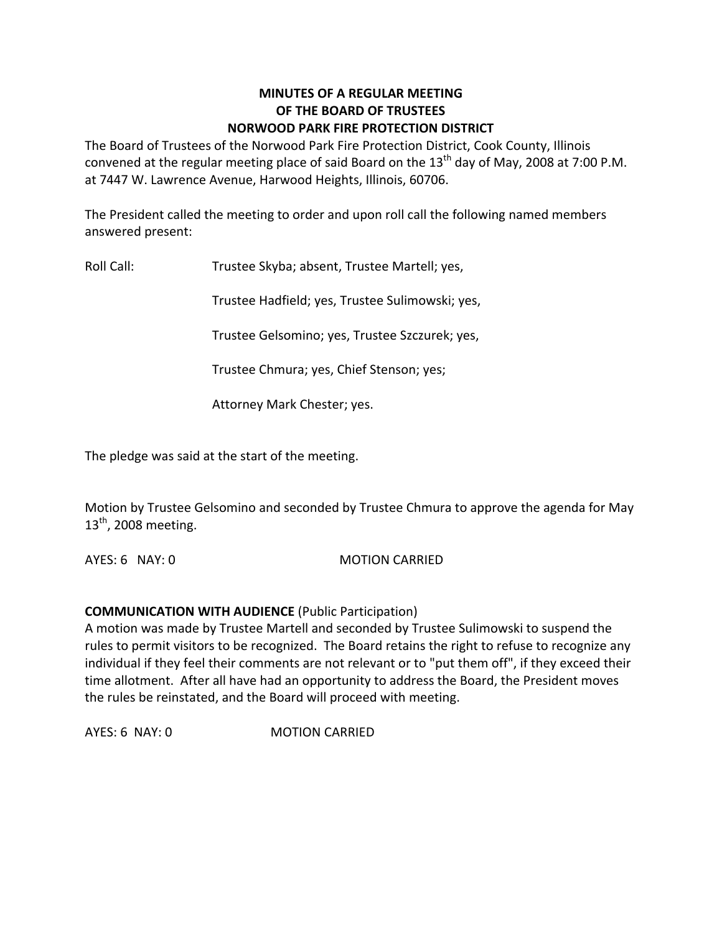#### **MINUTES OF A REGULAR MEETING OF THE BOARD OF TRUSTEES NORWOOD PARK FIRE PROTECTION DISTRICT**

The Board of Trustees of the Norwood Park Fire Protection District, Cook County, Illinois convened at the regular meeting place of said Board on the  $13<sup>th</sup>$  day of May, 2008 at 7:00 P.M. at 7447 W. Lawrence Avenue, Harwood Heights, Illinois, 60706.

The President called the meeting to order and upon roll call the following named members answered present:

Roll Call: Trustee Skyba; absent, Trustee Martell; yes,

Trustee Hadfield; yes, Trustee Sulimowski; yes,

Trustee Gelsomino; yes, Trustee Szczurek; yes,

Trustee Chmura; yes, Chief Stenson; yes;

Attorney Mark Chester; yes.

The pledge was said at the start of the meeting.

Motion by Trustee Gelsomino and seconded by Trustee Chmura to approve the agenda for May  $13<sup>th</sup>$ , 2008 meeting.

AYES: 6 NAY: 0 MOTION CARRIED

### **COMMUNICATION WITH AUDIENCE** (Public Participation)

A motion was made by Trustee Martell and seconded by Trustee Sulimowski to suspend the rules to permit visitors to be recognized. The Board retains the right to refuse to recognize any individual if they feel their comments are not relevant or to "put them off", if they exceed their time allotment. After all have had an opportunity to address the Board, the President moves the rules be reinstated, and the Board will proceed with meeting.

AYES: 6 NAY: 0 **MOTION CARRIED**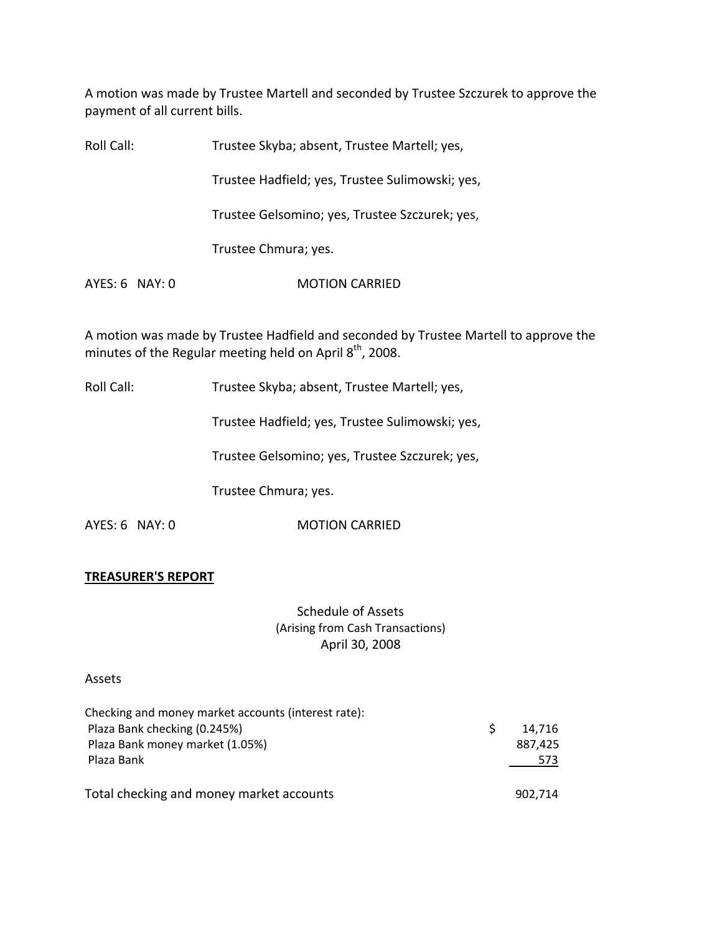A motion was made by Trustee Martell and seconded by Trustee Szczurek to approve the payment of all current bills.

| Roll Call:     | Trustee Skyba; absent, Trustee Martell; yes,    |
|----------------|-------------------------------------------------|
|                | Trustee Hadfield; yes, Trustee Sulimowski; yes, |
|                | Trustee Gelsomino; yes, Trustee Szczurek; yes,  |
|                | Trustee Chmura; yes.                            |
| AYES: 6 NAY: 0 | <b>MOTION CARRIED</b>                           |
|                |                                                 |

A motion was made by Trustee Hadfield and seconded by Trustee Martell to approve the minutes of the Regular meeting held on April 8<sup>th</sup>, 2008.

Roll Call: Trustee Skyba; absent, Trustee Martell; yes,

Trustee Hadfield; yes, Trustee Sulimowski; yes,

Trustee Gelsomino; yes, Trustee Szczurek; yes,

Trustee Chmura; yes.

AYES: 6 NAY: 0 MOTION CARRIED

#### **TREASURER'S REPORT**

Schedule of Assets (Arising from Cash Transactions) April 30, 2008

#### Assets

| Checking and money market accounts (interest rate): |         |  |
|-----------------------------------------------------|---------|--|
| Plaza Bank checking (0.245%)                        | 14.716  |  |
| Plaza Bank money market (1.05%)                     | 887,425 |  |
| Plaza Bank                                          | 573     |  |
| Total checking and money market accounts            | 902.714 |  |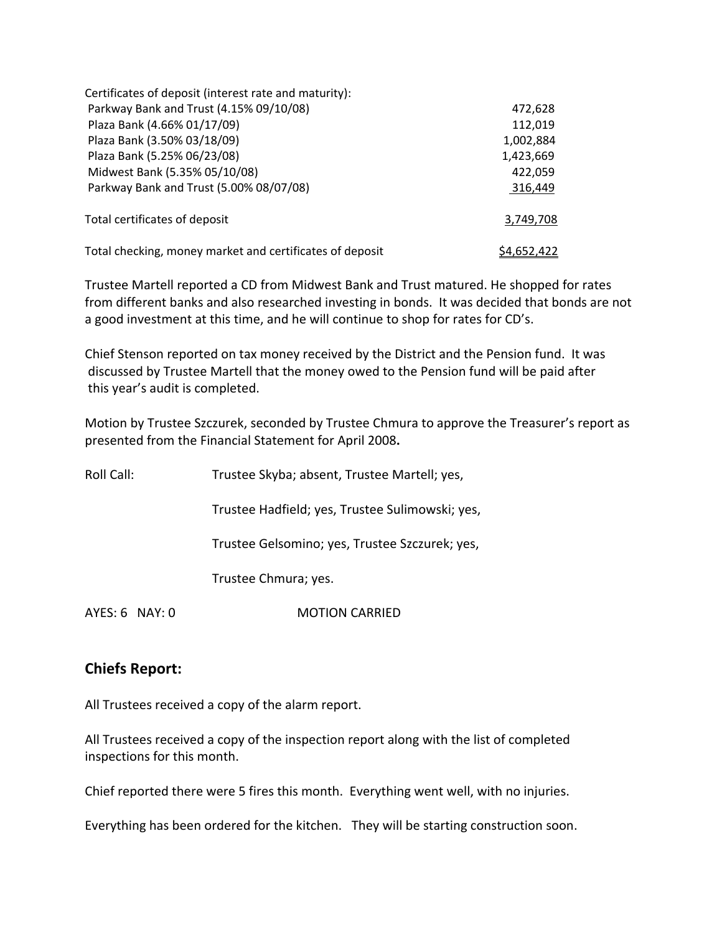| Certificates of deposit (interest rate and maturity):    |             |
|----------------------------------------------------------|-------------|
| Parkway Bank and Trust (4.15% 09/10/08)                  | 472,628     |
| Plaza Bank (4.66% 01/17/09)                              | 112,019     |
| Plaza Bank (3.50% 03/18/09)                              | 1,002,884   |
| Plaza Bank (5.25% 06/23/08)                              | 1,423,669   |
| Midwest Bank (5.35% 05/10/08)                            | 422,059     |
| Parkway Bank and Trust (5.00% 08/07/08)                  | 316,449     |
| Total certificates of deposit                            | 3,749,708   |
| Total checking, money market and certificates of deposit | \$4,652,422 |

Trustee Martell reported a CD from Midwest Bank and Trust matured. He shopped for rates from different banks and also researched investing in bonds. It was decided that bonds are not a good investment at this time, and he will continue to shop for rates for CD's.

Chief Stenson reported on tax money received by the District and the Pension fund. It was discussed by Trustee Martell that the money owed to the Pension fund will be paid after this year's audit is completed.

Motion by Trustee Szczurek, seconded by Trustee Chmura to approve the Treasurer's report as presented from the Financial Statement for April 2008**.**

| Roll Call:       | Trustee Skyba; absent, Trustee Martell; yes,    |
|------------------|-------------------------------------------------|
|                  | Trustee Hadfield; yes, Trustee Sulimowski; yes, |
|                  | Trustee Gelsomino; yes, Trustee Szczurek; yes,  |
|                  | Trustee Chmura; yes.                            |
| $AYES: 6$ NAY: 0 | <b>MOTION CARRIED</b>                           |

# **Chiefs Report:**

All Trustees received a copy of the alarm report.

All Trustees received a copy of the inspection report along with the list of completed inspections for this month.

Chief reported there were 5 fires this month. Everything went well, with no injuries.

Everything has been ordered for the kitchen. They will be starting construction soon.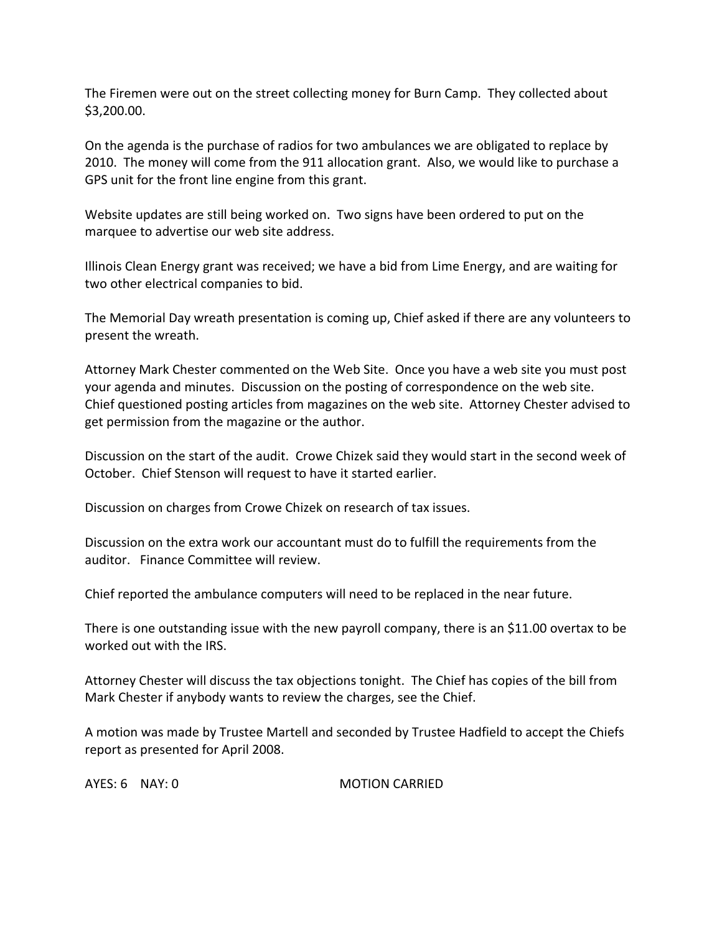The Firemen were out on the street collecting money for Burn Camp. They collected about \$3,200.00.

On the agenda is the purchase of radios for two ambulances we are obligated to replace by 2010. The money will come from the 911 allocation grant. Also, we would like to purchase a GPS unit for the front line engine from this grant.

Website updates are still being worked on. Two signs have been ordered to put on the marquee to advertise our web site address.

Illinois Clean Energy grant was received; we have a bid from Lime Energy, and are waiting for two other electrical companies to bid.

The Memorial Day wreath presentation is coming up, Chief asked if there are any volunteers to present the wreath.

Attorney Mark Chester commented on the Web Site. Once you have a web site you must post your agenda and minutes. Discussion on the posting of correspondence on the web site. Chief questioned posting articles from magazines on the web site. Attorney Chester advised to get permission from the magazine or the author.

Discussion on the start of the audit. Crowe Chizek said they would start in the second week of October. Chief Stenson will request to have it started earlier.

Discussion on charges from Crowe Chizek on research of tax issues.

Discussion on the extra work our accountant must do to fulfill the requirements from the auditor. Finance Committee will review.

Chief reported the ambulance computers will need to be replaced in the near future.

There is one outstanding issue with the new payroll company, there is an \$11.00 overtax to be worked out with the IRS.

Attorney Chester will discuss the tax objections tonight. The Chief has copies of the bill from Mark Chester if anybody wants to review the charges, see the Chief.

A motion was made by Trustee Martell and seconded by Trustee Hadfield to accept the Chiefs report as presented for April 2008.

AYES: 6 NAY: 0 MOTION CARRIED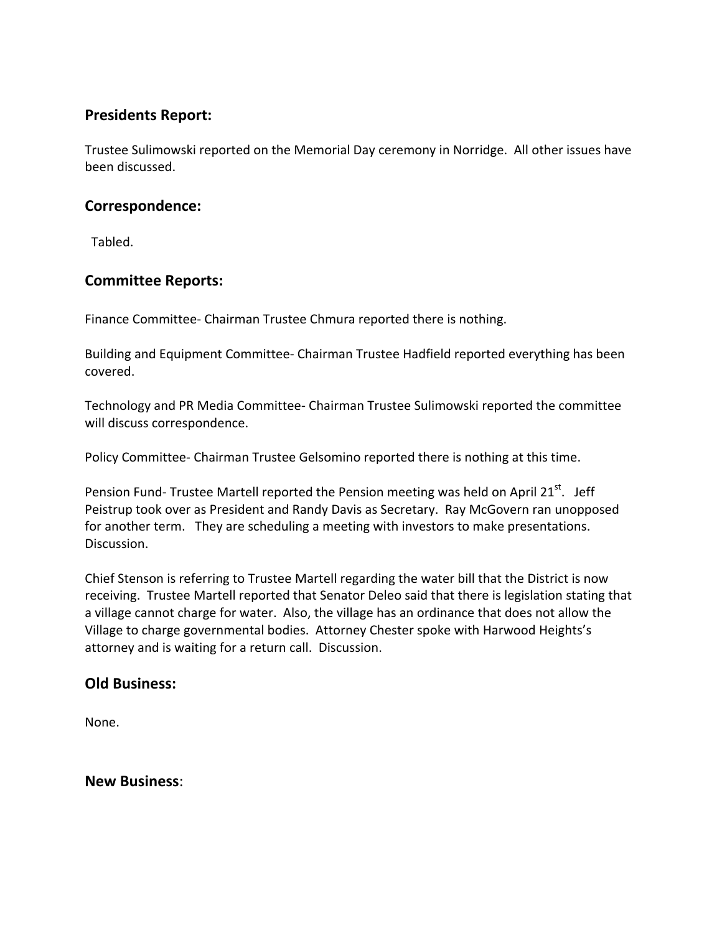# **Presidents Report:**

Trustee Sulimowski reported on the Memorial Day ceremony in Norridge. All other issues have been discussed.

## **Correspondence:**

Tabled.

# **Committee Reports:**

Finance Committee‐ Chairman Trustee Chmura reported there is nothing.

Building and Equipment Committee‐ Chairman Trustee Hadfield reported everything has been covered.

Technology and PR Media Committee‐ Chairman Trustee Sulimowski reported the committee will discuss correspondence.

Policy Committee‐ Chairman Trustee Gelsomino reported there is nothing at this time.

Pension Fund- Trustee Martell reported the Pension meeting was held on April 21<sup>st</sup>. Jeff Peistrup took over as President and Randy Davis as Secretary. Ray McGovern ran unopposed for another term. They are scheduling a meeting with investors to make presentations. Discussion.

Chief Stenson is referring to Trustee Martell regarding the water bill that the District is now receiving. Trustee Martell reported that Senator Deleo said that there is legislation stating that a village cannot charge for water. Also, the village has an ordinance that does not allow the Village to charge governmental bodies. Attorney Chester spoke with Harwood Heights's attorney and is waiting for a return call. Discussion.

# **Old Business:**

None.

### **New Business**: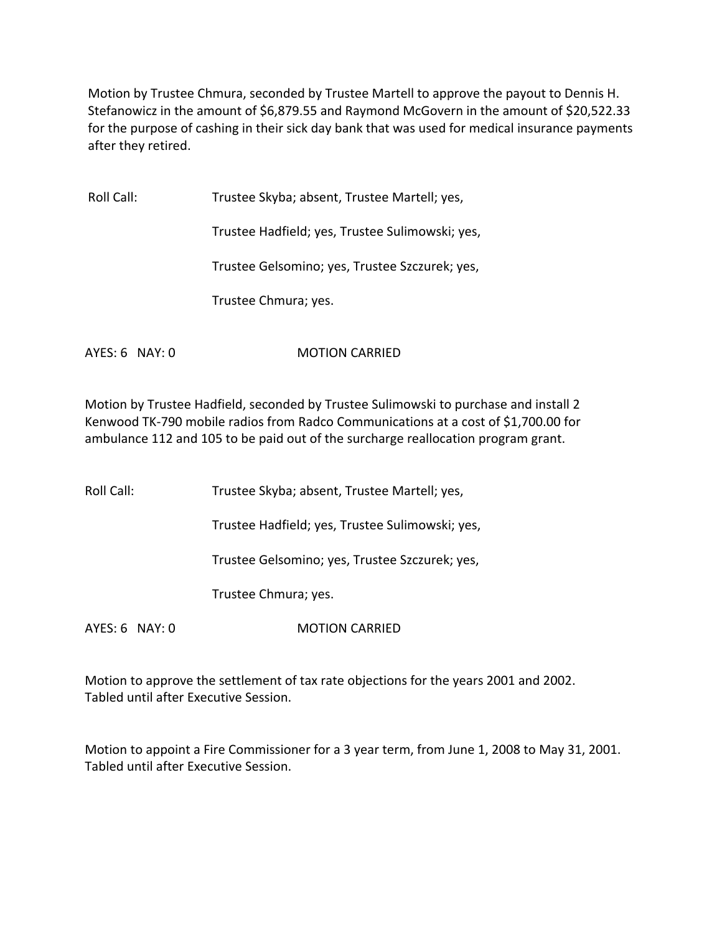Motion by Trustee Chmura, seconded by Trustee Martell to approve the payout to Dennis H. Stefanowicz in the amount of \$6,879.55 and Raymond McGovern in the amount of \$20,522.33 for the purpose of cashing in their sick day bank that was used for medical insurance payments after they retired.

Roll Call: Trustee Skyba; absent, Trustee Martell; yes, Trustee Hadfield; yes, Trustee Sulimowski; yes, Trustee Gelsomino; yes, Trustee Szczurek; yes, Trustee Chmura; yes. AYES: 6 NAY: 0 MOTION CARRIED

Motion by Trustee Hadfield, seconded by Trustee Sulimowski to purchase and install 2 Kenwood TK‐790 mobile radios from Radco Communications at a cost of \$1,700.00 for ambulance 112 and 105 to be paid out of the surcharge reallocation program grant.

Roll Call: Trustee Skyba; absent, Trustee Martell; yes,

Trustee Hadfield; yes, Trustee Sulimowski; yes,

Trustee Gelsomino; yes, Trustee Szczurek; yes,

Trustee Chmura; yes.

AYES: 6 NAY: 0 MOTION CARRIED

Motion to approve the settlement of tax rate objections for the years 2001 and 2002. Tabled until after Executive Session.

Motion to appoint a Fire Commissioner for a 3 year term, from June 1, 2008 to May 31, 2001. Tabled until after Executive Session.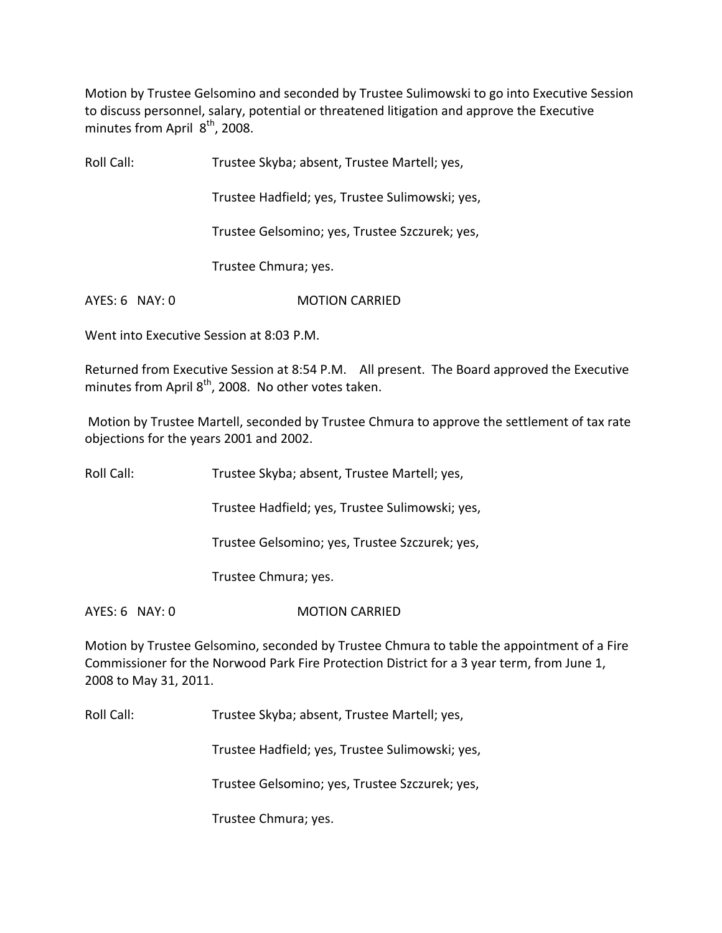Motion by Trustee Gelsomino and seconded by Trustee Sulimowski to go into Executive Session to discuss personnel, salary, potential or threatened litigation and approve the Executive minutes from April 8<sup>th</sup>, 2008.

Roll Call: Trustee Skyba; absent, Trustee Martell; yes,

Trustee Hadfield; yes, Trustee Sulimowski; yes,

Trustee Gelsomino; yes, Trustee Szczurek; yes,

Trustee Chmura; yes.

AYES: 6 NAY: 0 MOTION CARRIED

Went into Executive Session at 8:03 P.M.

Returned from Executive Session at 8:54 P.M. All present. The Board approved the Executive minutes from April 8<sup>th</sup>, 2008. No other votes taken.

Motion by Trustee Martell, seconded by Trustee Chmura to approve the settlement of tax rate objections for the years 2001 and 2002.

Roll Call: Trustee Skyba; absent, Trustee Martell; yes,

Trustee Hadfield; yes, Trustee Sulimowski; yes,

Trustee Gelsomino; yes, Trustee Szczurek; yes,

Trustee Chmura; yes.

AYES: 6 NAY: 0 MOTION CARRIED

Motion by Trustee Gelsomino, seconded by Trustee Chmura to table the appointment of a Fire Commissioner for the Norwood Park Fire Protection District for a 3 year term, from June 1, 2008 to May 31, 2011.

Roll Call: Trustee Skyba; absent, Trustee Martell; yes,

Trustee Hadfield; yes, Trustee Sulimowski; yes,

Trustee Gelsomino; yes, Trustee Szczurek; yes,

Trustee Chmura; yes.